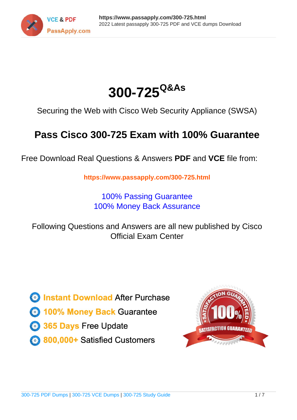



Securing the Web with Cisco Web Security Appliance (SWSA)

# **Pass Cisco 300-725 Exam with 100% Guarantee**

Free Download Real Questions & Answers **PDF** and **VCE** file from:

**https://www.passapply.com/300-725.html**

100% Passing Guarantee 100% Money Back Assurance

Following Questions and Answers are all new published by Cisco Official Exam Center

**C** Instant Download After Purchase **83 100% Money Back Guarantee** 

- 365 Days Free Update
- 800,000+ Satisfied Customers

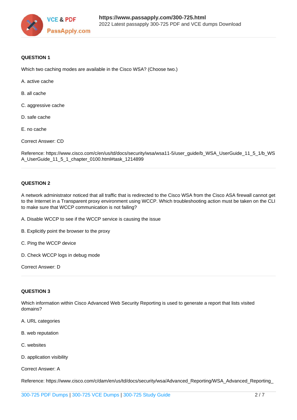

## **QUESTION 1**

Which two caching modes are available in the Cisco WSA? (Choose two.)

- A. active cache
- B. all cache
- C. aggressive cache
- D. safe cache
- E. no cache

Correct Answer: CD

Reference: https://www.cisco.com/c/en/us/td/docs/security/wsa/wsa11-5/user\_guide/b\_WSA\_UserGuide\_11\_5\_1/b\_WS A\_UserGuide\_11\_5\_1\_chapter\_0100.html#task\_1214899

#### **QUESTION 2**

A network administrator noticed that all traffic that is redirected to the Cisco WSA from the Cisco ASA firewall cannot get to the Internet in a Transparent proxy environment using WCCP. Which troubleshooting action must be taken on the CLI to make sure that WCCP communication is not failing?

- A. Disable WCCP to see if the WCCP service is causing the issue
- B. Explicitly point the browser to the proxy
- C. Ping the WCCP device
- D. Check WCCP logs in debug mode

Correct Answer: D

#### **QUESTION 3**

Which information within Cisco Advanced Web Security Reporting is used to generate a report that lists visited domains?

- A. URL categories
- B. web reputation
- C. websites
- D. application visibility

Correct Answer: A

Reference: https://www.cisco.com/c/dam/en/us/td/docs/security/wsa/Advanced\_Reporting/WSA\_Advanced\_Reporting\_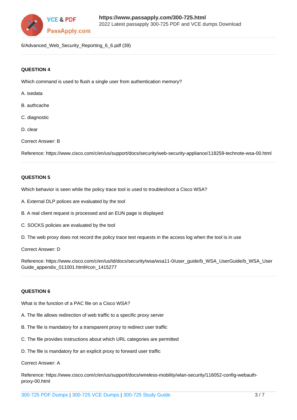

6/Advanced\_Web\_Security\_Reporting\_6\_6.pdf (39)

# **QUESTION 4**

Which command is used to flush a single user from authentication memory?

- A. isedata
- B. authcache
- C. diagnostic
- D. clear
- Correct Answer: B

Reference: https://www.cisco.com/c/en/us/support/docs/security/web-security-appliance/118259-technote-wsa-00.html

# **QUESTION 5**

Which behavior is seen while the policy trace tool is used to troubleshoot a Cisco WSA?

- A. External DLP polices are evaluated by the tool
- B. A real client request is processed and an EUN page is displayed
- C. SOCKS policies are evaluated by the tool
- D. The web proxy does not record the policy trace test requests in the access log when the tool is in use
- Correct Answer: D

Reference: https://www.cisco.com/c/en/us/td/docs/security/wsa/wsa11-0/user\_guide/b\_WSA\_UserGuide/b\_WSA\_User Guide\_appendix\_011001.html#con\_1415277

# **QUESTION 6**

What is the function of a PAC file on a Cisco WSA?

- A. The file allows redirection of web traffic to a specific proxy server
- B. The file is mandatory for a transparent proxy to redirect user traffic
- C. The file provides instructions about which URL categories are permitted
- D. The file is mandatory for an explicit proxy to forward user traffic

# Correct Answer: A

Reference: https://www.cisco.com/c/en/us/support/docs/wireless-mobility/wlan-security/116052-config-webauthproxy-00.html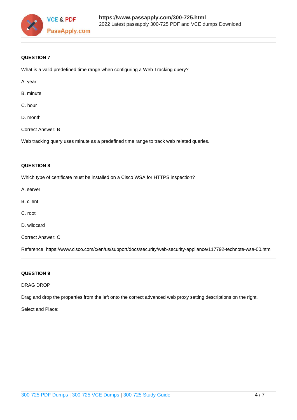

# **QUESTION 7**

What is a valid predefined time range when configuring a Web Tracking query?

- A. year
- B. minute
- C. hour
- D. month
- Correct Answer: B

Web tracking query uses minute as a predefined time range to track web related queries.

#### **QUESTION 8**

Which type of certificate must be installed on a Cisco WSA for HTTPS inspection?

- A. server
- B. client
- C. root
- D. wildcard
- Correct Answer: C

Reference: https://www.cisco.com/c/en/us/support/docs/security/web-security-appliance/117792-technote-wsa-00.html

# **QUESTION 9**

# DRAG DROP

Drag and drop the properties from the left onto the correct advanced web proxy setting descriptions on the right.

#### Select and Place: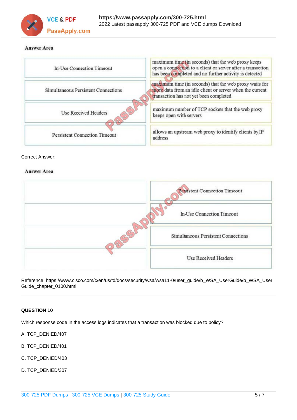

# **Answer Area**

| In-Use Connection Timeout            | maximum time (in seconds) that the web proxy keeps<br>open a connection to a client or server after a transaction<br>has been completed and no further activity is detected |
|--------------------------------------|-----------------------------------------------------------------------------------------------------------------------------------------------------------------------------|
| Simultaneous Persistent Connections  | maximum time (in seconds) that the web proxy waits for<br>more data from an idle client or server when the current<br>transaction has not yet been completed                |
| <b>Use Received Headers</b>          | maximum number of TCP sockets that the web proxy<br>keeps open with servers                                                                                                 |
| <b>Persistent Connection Timeout</b> | allows an upstream web proxy to identify clients by IP<br>address                                                                                                           |

#### Correct Answer:

# **Answer Area**



Reference: https://www.cisco.com/c/en/us/td/docs/security/wsa/wsa11-0/user\_guide/b\_WSA\_UserGuide/b\_WSA\_User Guide\_chapter\_0100.html

## **QUESTION 10**

Which response code in the access logs indicates that a transaction was blocked due to policy?

- A. TCP\_DENIED/407
- B. TCP\_DENIED/401
- C. TCP\_DENIED/403
- D. TCP\_DENIED/307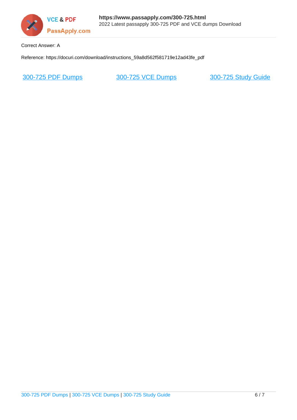

Correct Answer: A

Reference: https://docuri.com/download/instructions\_59a8d562f581719e12ad43fe\_pdf

[300-725 PDF Dumps](https://www.passapply.com/300-725.html) [300-725 VCE Dumps](https://www.passapply.com/300-725.html) [300-725 Study Guide](https://www.passapply.com/300-725.html)